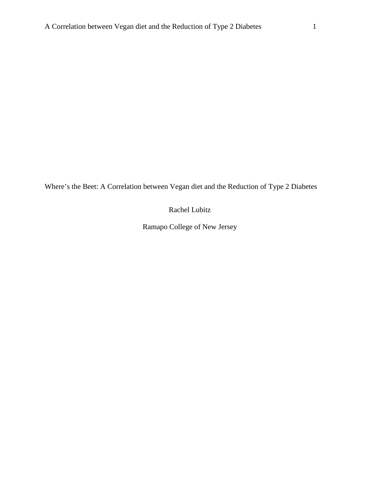Where's the Beet: A Correlation between Vegan diet and the Reduction of Type 2 Diabetes

Rachel Lubitz

Ramapo College of New Jersey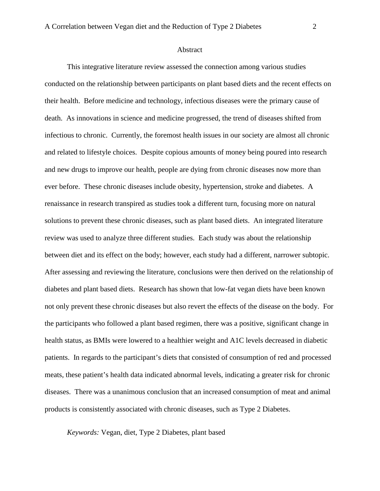#### Abstract

This integrative literature review assessed the connection among various studies conducted on the relationship between participants on plant based diets and the recent effects on their health. Before medicine and technology, infectious diseases were the primary cause of death. As innovations in science and medicine progressed, the trend of diseases shifted from infectious to chronic. Currently, the foremost health issues in our society are almost all chronic and related to lifestyle choices. Despite copious amounts of money being poured into research and new drugs to improve our health, people are dying from chronic diseases now more than ever before. These chronic diseases include obesity, hypertension, stroke and diabetes. A renaissance in research transpired as studies took a different turn, focusing more on natural solutions to prevent these chronic diseases, such as plant based diets. An integrated literature review was used to analyze three different studies. Each study was about the relationship between diet and its effect on the body; however, each study had a different, narrower subtopic. After assessing and reviewing the literature, conclusions were then derived on the relationship of diabetes and plant based diets. Research has shown that low-fat vegan diets have been known not only prevent these chronic diseases but also revert the effects of the disease on the body. For the participants who followed a plant based regimen, there was a positive, significant change in health status, as BMIs were lowered to a healthier weight and A1C levels decreased in diabetic patients. In regards to the participant's diets that consisted of consumption of red and processed meats, these patient's health data indicated abnormal levels, indicating a greater risk for chronic diseases. There was a unanimous conclusion that an increased consumption of meat and animal products is consistently associated with chronic diseases, such as Type 2 Diabetes.

*Keywords:* Vegan, diet, Type 2 Diabetes, plant based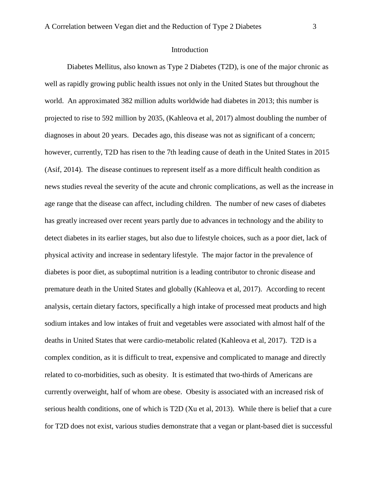#### Introduction

Diabetes Mellitus, also known as Type 2 Diabetes (T2D), is one of the major chronic as well as rapidly growing public health issues not only in the United States but throughout the world. An approximated 382 million adults worldwide had diabetes in 2013; this number is projected to rise to 592 million by 2035, (Kahleova et al, 2017) almost doubling the number of diagnoses in about 20 years. Decades ago, this disease was not as significant of a concern; however, currently, T2D has risen to the 7th leading cause of death in the United States in 2015 (Asif, 2014). The disease continues to represent itself as a more difficult health condition as news studies reveal the severity of the acute and chronic complications, as well as the increase in age range that the disease can affect, including children. The number of new cases of diabetes has greatly increased over recent years partly due to advances in technology and the ability to detect diabetes in its earlier stages, but also due to lifestyle choices, such as a poor diet, lack of physical activity and increase in sedentary lifestyle. The major factor in the prevalence of diabetes is poor diet, as suboptimal nutrition is a leading contributor to chronic disease and premature death in the United States and globally (Kahleova et al, 2017). According to recent analysis, certain dietary factors, specifically a high intake of processed meat products and high sodium intakes and low intakes of fruit and vegetables were associated with almost half of the deaths in United States that were cardio-metabolic related (Kahleova et al, 2017). T2D is a complex condition, as it is difficult to treat, expensive and complicated to manage and directly related to co-morbidities, such as obesity. It is estimated that two-thirds of Americans are currently overweight, half of whom are obese. Obesity is associated with an increased risk of serious health conditions, one of which is T2D (Xu et al, 2013). While there is belief that a cure for T2D does not exist, various studies demonstrate that a vegan or plant-based diet is successful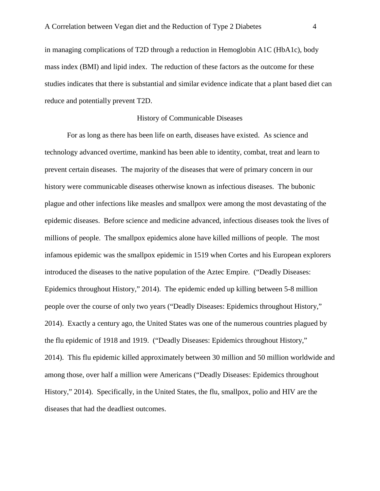in managing complications of T2D through a reduction in Hemoglobin A1C (HbA1c), body mass index (BMI) and lipid index. The reduction of these factors as the outcome for these studies indicates that there is substantial and similar evidence indicate that a plant based diet can reduce and potentially prevent T2D.

#### History of Communicable Diseases

For as long as there has been life on earth, diseases have existed. As science and technology advanced overtime, mankind has been able to identity, combat, treat and learn to prevent certain diseases. The majority of the diseases that were of primary concern in our history were communicable diseases otherwise known as infectious diseases. The bubonic plague and other infections like measles and smallpox were among the most devastating of the epidemic diseases. Before science and medicine advanced, infectious diseases took the lives of millions of people. The smallpox epidemics alone have killed millions of people. The most infamous epidemic was the smallpox epidemic in 1519 when Cortes and his European explorers introduced the diseases to the native population of the Aztec Empire. ("Deadly Diseases: Epidemics throughout History," 2014). The epidemic ended up killing between 5-8 million people over the course of only two years ("Deadly Diseases: Epidemics throughout History," 2014). Exactly a century ago, the United States was one of the numerous countries plagued by the flu epidemic of 1918 and 1919. ("Deadly Diseases: Epidemics throughout History," 2014). This flu epidemic killed approximately between 30 million and 50 million worldwide and among those, over half a million were Americans ("Deadly Diseases: Epidemics throughout History," 2014). Specifically, in the United States, the flu, smallpox, polio and HIV are the diseases that had the deadliest outcomes.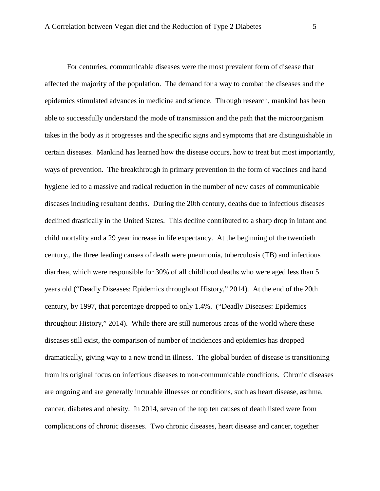For centuries, communicable diseases were the most prevalent form of disease that affected the majority of the population. The demand for a way to combat the diseases and the epidemics stimulated advances in medicine and science. Through research, mankind has been able to successfully understand the mode of transmission and the path that the microorganism takes in the body as it progresses and the specific signs and symptoms that are distinguishable in certain diseases. Mankind has learned how the disease occurs, how to treat but most importantly, ways of prevention. The breakthrough in primary prevention in the form of vaccines and hand hygiene led to a massive and radical reduction in the number of new cases of communicable diseases including resultant deaths. During the 20th century, deaths due to infectious diseases declined drastically in the United States. This decline contributed to a sharp drop in infant and child mortality and a 29 year increase in life expectancy. At the beginning of the twentieth century,, the three leading causes of death were pneumonia, tuberculosis (TB) and infectious diarrhea, which were responsible for 30% of all childhood deaths who were aged less than 5 years old ("Deadly Diseases: Epidemics throughout History," 2014). At the end of the 20th century, by 1997, that percentage dropped to only 1.4%. ("Deadly Diseases: Epidemics throughout History," 2014). While there are still numerous areas of the world where these diseases still exist, the comparison of number of incidences and epidemics has dropped dramatically, giving way to a new trend in illness. The global burden of disease is transitioning from its original focus on infectious diseases to non-communicable conditions. Chronic diseases are ongoing and are generally incurable illnesses or conditions, such as heart disease, asthma, cancer, diabetes and obesity. In 2014, seven of the top ten causes of death listed were from complications of chronic diseases. Two chronic diseases, heart disease and cancer, together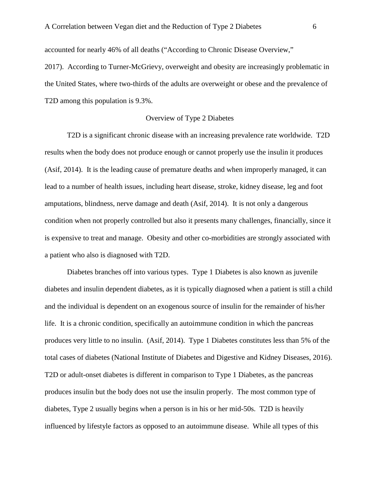accounted for nearly 46% of all deaths ("According to Chronic Disease Overview,"

2017). According to Turner-McGrievy, overweight and obesity are increasingly problematic in the United States, where two-thirds of the adults are overweight or obese and the prevalence of T2D among this population is 9.3%.

## Overview of Type 2 Diabetes

T2D is a significant chronic disease with an increasing prevalence rate worldwide. T2D results when the body does not produce enough or cannot properly use the insulin it produces (Asif, 2014). It is the leading cause of premature deaths and when improperly managed, it can lead to a number of health issues, including heart disease, stroke, kidney disease, leg and foot amputations, blindness, nerve damage and death (Asif, 2014). It is not only a dangerous condition when not properly controlled but also it presents many challenges, financially, since it is expensive to treat and manage. Obesity and other co-morbidities are strongly associated with a patient who also is diagnosed with T2D.

Diabetes branches off into various types. Type 1 Diabetes is also known as juvenile diabetes and insulin dependent diabetes, as it is typically diagnosed when a patient is still a child and the individual is dependent on an exogenous source of insulin for the remainder of his/her life. It is a chronic condition, specifically an autoimmune condition in which the pancreas produces very little to no insulin. (Asif, 2014). Type 1 Diabetes constitutes less than 5% of the total cases of diabetes (National Institute of Diabetes and Digestive and Kidney Diseases, 2016). T2D or adult-onset diabetes is different in comparison to Type 1 Diabetes, as the pancreas produces insulin but the body does not use the insulin properly. The most common type of diabetes, Type 2 usually begins when a person is in his or her mid-50s. T2D is heavily influenced by lifestyle factors as opposed to an autoimmune disease. While all types of this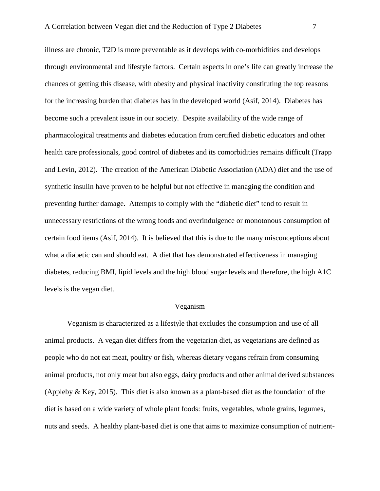illness are chronic, T2D is more preventable as it develops with co-morbidities and develops through environmental and lifestyle factors. Certain aspects in one's life can greatly increase the chances of getting this disease, with obesity and physical inactivity constituting the top reasons for the increasing burden that diabetes has in the developed world (Asif, 2014). Diabetes has become such a prevalent issue in our society. Despite availability of the wide range of pharmacological treatments and diabetes education from certified diabetic educators and other health care professionals, good control of diabetes and its comorbidities remains difficult (Trapp and Levin, 2012). The creation of the American Diabetic Association (ADA) diet and the use of synthetic insulin have proven to be helpful but not effective in managing the condition and preventing further damage. Attempts to comply with the "diabetic diet" tend to result in unnecessary restrictions of the wrong foods and overindulgence or monotonous consumption of certain food items (Asif, 2014). It is believed that this is due to the many misconceptions about what a diabetic can and should eat. A diet that has demonstrated effectiveness in managing diabetes, reducing BMI, lipid levels and the high blood sugar levels and therefore, the high A1C levels is the vegan diet.

## Veganism

Veganism is characterized as a lifestyle that excludes the consumption and use of all animal products. A vegan diet differs from the vegetarian diet, as vegetarians are defined as people who do not eat meat, poultry or fish, whereas dietary vegans refrain from consuming animal products, not only meat but also eggs, dairy products and other animal derived substances (Appleby & Key, 2015). This diet is also known as a plant-based diet as the foundation of the diet is based on a wide variety of whole plant foods: fruits, vegetables, whole grains, legumes, nuts and seeds. A healthy plant-based diet is one that aims to maximize consumption of nutrient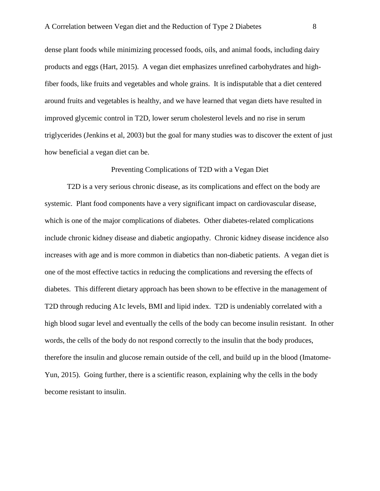dense plant foods while minimizing processed foods, oils, and animal foods, including dairy products and eggs (Hart, 2015). A vegan diet emphasizes unrefined carbohydrates and highfiber foods, like fruits and vegetables and whole grains. It is indisputable that a diet centered around fruits and vegetables is healthy, and we have learned that vegan diets have resulted in improved glycemic control in T2D, lower serum cholesterol levels and no rise in serum triglycerides (Jenkins et al, 2003) but the goal for many studies was to discover the extent of just how beneficial a vegan diet can be.

## Preventing Complications of T2D with a Vegan Diet

T2D is a very serious chronic disease, as its complications and effect on the body are systemic. Plant food components have a very significant impact on cardiovascular disease, which is one of the major complications of diabetes. Other diabetes-related complications include chronic kidney disease and diabetic angiopathy. Chronic kidney disease incidence also increases with age and is more common in diabetics than non-diabetic patients. A vegan diet is one of the most effective tactics in reducing the complications and reversing the effects of diabetes. This different dietary approach has been shown to be effective in the management of T2D through reducing A1c levels, BMI and lipid index. T2D is undeniably correlated with a high blood sugar level and eventually the cells of the body can become insulin resistant. In other words, the cells of the body do not respond correctly to the insulin that the body produces, therefore the insulin and glucose remain outside of the cell, and build up in the blood (Imatome-Yun, 2015). Going further, there is a scientific reason, explaining why the cells in the body become resistant to insulin.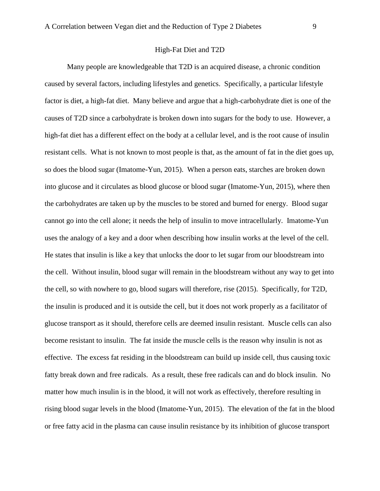Many people are knowledgeable that T2D is an acquired disease, a chronic condition caused by several factors, including lifestyles and genetics. Specifically, a particular lifestyle factor is diet, a high-fat diet. Many believe and argue that a high-carbohydrate diet is one of the causes of T2D since a carbohydrate is broken down into sugars for the body to use. However, a high-fat diet has a different effect on the body at a cellular level, and is the root cause of insulin resistant cells. What is not known to most people is that, as the amount of fat in the diet goes up, so does the blood sugar (Imatome-Yun, 2015). When a person eats, starches are broken down into glucose and it circulates as blood glucose or blood sugar (Imatome-Yun, 2015), where then the carbohydrates are taken up by the muscles to be stored and burned for energy. Blood sugar cannot go into the cell alone; it needs the help of insulin to move intracellularly. Imatome-Yun uses the analogy of a key and a door when describing how insulin works at the level of the cell. He states that insulin is like a key that unlocks the door to let sugar from our bloodstream into the cell. Without insulin, blood sugar will remain in the bloodstream without any way to get into the cell, so with nowhere to go, blood sugars will therefore, rise (2015). Specifically, for T2D, the insulin is produced and it is outside the cell, but it does not work properly as a facilitator of glucose transport as it should, therefore cells are deemed insulin resistant. Muscle cells can also become resistant to insulin. The fat inside the muscle cells is the reason why insulin is not as effective. The excess fat residing in the bloodstream can build up inside cell, thus causing toxic fatty break down and free radicals. As a result, these free radicals can and do block insulin. No matter how much insulin is in the blood, it will not work as effectively, therefore resulting in rising blood sugar levels in the blood (Imatome-Yun, 2015). The elevation of the fat in the blood or free fatty acid in the plasma can cause insulin resistance by its inhibition of glucose transport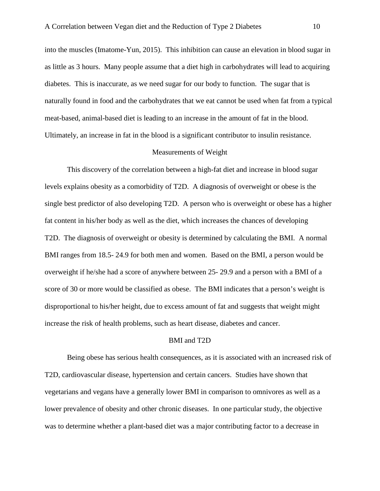into the muscles (Imatome-Yun, 2015). This inhibition can cause an elevation in blood sugar in as little as 3 hours. Many people assume that a diet high in carbohydrates will lead to acquiring diabetes. This is inaccurate, as we need sugar for our body to function. The sugar that is naturally found in food and the carbohydrates that we eat cannot be used when fat from a typical meat-based, animal-based diet is leading to an increase in the amount of fat in the blood. Ultimately, an increase in fat in the blood is a significant contributor to insulin resistance.

#### Measurements of Weight

This discovery of the correlation between a high-fat diet and increase in blood sugar levels explains obesity as a comorbidity of T2D. A diagnosis of overweight or obese is the single best predictor of also developing T2D. A person who is overweight or obese has a higher fat content in his/her body as well as the diet, which increases the chances of developing T2D. The diagnosis of overweight or obesity is determined by calculating the BMI. A normal BMI ranges from 18.5- 24.9 for both men and women. Based on the BMI, a person would be overweight if he/she had a score of anywhere between 25- 29.9 and a person with a BMI of a score of 30 or more would be classified as obese. The BMI indicates that a person's weight is disproportional to his/her height, due to excess amount of fat and suggests that weight might increase the risk of health problems, such as heart disease, diabetes and cancer.

## BMI and T2D

Being obese has serious health consequences, as it is associated with an increased risk of T2D, cardiovascular disease, hypertension and certain cancers. Studies have shown that vegetarians and vegans have a generally lower BMI in comparison to omnivores as well as a lower prevalence of obesity and other chronic diseases. In one particular study, the objective was to determine whether a plant-based diet was a major contributing factor to a decrease in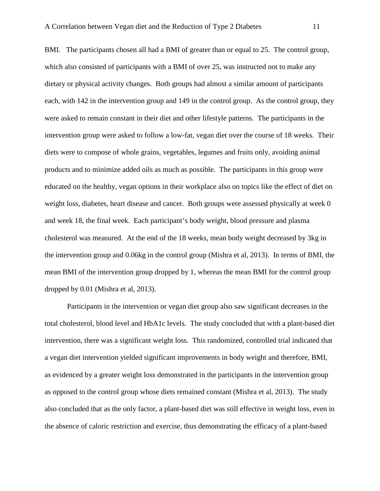BMI. The participants chosen all had a BMI of greater than or equal to 25. The control group, which also consisted of participants with a BMI of over 25, was instructed not to make any dietary or physical activity changes. Both groups had almost a similar amount of participants each, with 142 in the intervention group and 149 in the control group. As the control group, they were asked to remain constant in their diet and other lifestyle patterns. The participants in the intervention group were asked to follow a low-fat, vegan diet over the course of 18 weeks. Their diets were to compose of whole grains, vegetables, legumes and fruits only, avoiding animal products and to minimize added oils as much as possible. The participants in this group were educated on the healthy, vegan options in their workplace also on topics like the effect of diet on weight loss, diabetes, heart disease and cancer. Both groups were assessed physically at week 0 and week 18, the final week. Each participant's body weight, blood pressure and plasma cholesterol was measured. At the end of the 18 weeks, mean body weight decreased by 3kg in the intervention group and 0.06kg in the control group (Mishra et al, 2013). In terms of BMI, the mean BMI of the intervention group dropped by 1, whereas the mean BMI for the control group dropped by 0.01 (Mishra et al, 2013).

Participants in the intervention or vegan diet group also saw significant decreases in the total cholesterol, blood level and HbA1c levels. The study concluded that with a plant-based diet intervention, there was a significant weight loss. This randomized, controlled trial indicated that a vegan diet intervention yielded significant improvements in body weight and therefore, BMI, as evidenced by a greater weight loss demonstrated in the participants in the intervention group as opposed to the control group whose diets remained constant (Mishra et al, 2013). The study also concluded that as the only factor, a plant-based diet was still effective in weight loss, even in the absence of caloric restriction and exercise, thus demonstrating the efficacy of a plant-based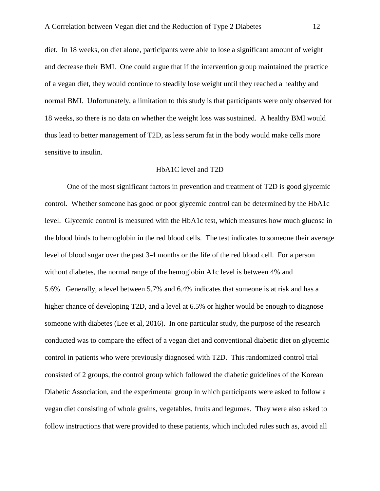diet. In 18 weeks, on diet alone, participants were able to lose a significant amount of weight and decrease their BMI. One could argue that if the intervention group maintained the practice of a vegan diet, they would continue to steadily lose weight until they reached a healthy and normal BMI. Unfortunately, a limitation to this study is that participants were only observed for 18 weeks, so there is no data on whether the weight loss was sustained. A healthy BMI would thus lead to better management of T2D, as less serum fat in the body would make cells more sensitive to insulin.

#### HbA1C level and T2D

One of the most significant factors in prevention and treatment of T2D is good glycemic control. Whether someone has good or poor glycemic control can be determined by the HbA1c level. Glycemic control is measured with the HbA1c test, which measures how much glucose in the blood binds to hemoglobin in the red blood cells. The test indicates to someone their average level of blood sugar over the past 3-4 months or the life of the red blood cell. For a person without diabetes, the normal range of the hemoglobin A1c level is between 4% and 5.6%. Generally, a level between 5.7% and 6.4% indicates that someone is at risk and has a higher chance of developing T2D, and a level at 6.5% or higher would be enough to diagnose someone with diabetes (Lee et al, 2016). In one particular study, the purpose of the research conducted was to compare the effect of a vegan diet and conventional diabetic diet on glycemic control in patients who were previously diagnosed with T2D. This randomized control trial consisted of 2 groups, the control group which followed the diabetic guidelines of the Korean Diabetic Association, and the experimental group in which participants were asked to follow a vegan diet consisting of whole grains, vegetables, fruits and legumes. They were also asked to follow instructions that were provided to these patients, which included rules such as, avoid all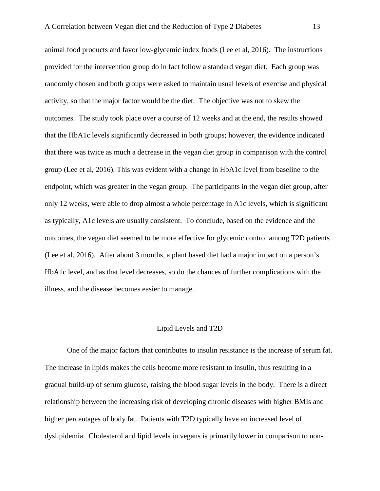animal food products and favor low-glycemic index foods (Lee et al, 2016). The instructions provided for the intervention group do in fact follow a standard vegan diet. Each group was randomly chosen and both groups were asked to maintain usual levels of exercise and physical activity, so that the major factor would be the diet. The objective was not to skew the outcomes. The study took place over a course of 12 weeks and at the end, the results showed that the HbA1c levels significantly decreased in both groups; however, the evidence indicated that there was twice as much a decrease in the vegan diet group in comparison with the control group (Lee et al, 2016). This was evident with a change in HbA1c level from baseline to the endpoint, which was greater in the vegan group. The participants in the vegan diet group, after only 12 weeks, were able to drop almost a whole percentage in A1c levels, which is significant as typically, A1c levels are usually consistent. To conclude, based on the evidence and the outcomes, the vegan diet seemed to be more effective for glycemic control among T2D patients (Lee et al, 2016). After about 3 months, a plant based diet had a major impact on a person's HbA1c level, and as that level decreases, so do the chances of further complications with the illness, and the disease becomes easier to manage.

### Lipid Levels and T2D

One of the major factors that contributes to insulin resistance is the increase of serum fat. The increase in lipids makes the cells become more resistant to insulin, thus resulting in a gradual build-up of serum glucose, raising the blood sugar levels in the body. There is a direct relationship between the increasing risk of developing chronic diseases with higher BMIs and higher percentages of body fat. Patients with T2D typically have an increased level of dyslipidemia. Cholesterol and lipid levels in vegans is primarily lower in comparison to non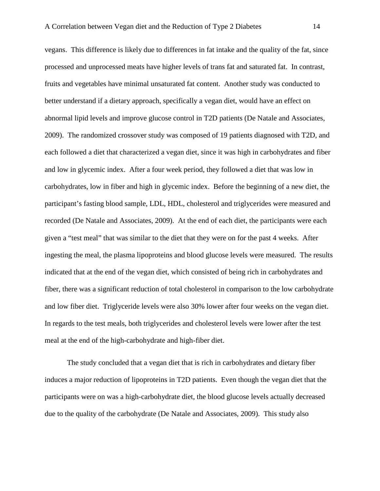vegans. This difference is likely due to differences in fat intake and the quality of the fat, since processed and unprocessed meats have higher levels of trans fat and saturated fat. In contrast, fruits and vegetables have minimal unsaturated fat content. Another study was conducted to better understand if a dietary approach, specifically a vegan diet, would have an effect on abnormal lipid levels and improve glucose control in T2D patients (De Natale and Associates, 2009). The randomized crossover study was composed of 19 patients diagnosed with T2D, and each followed a diet that characterized a vegan diet, since it was high in carbohydrates and fiber and low in glycemic index. After a four week period, they followed a diet that was low in carbohydrates, low in fiber and high in glycemic index. Before the beginning of a new diet, the participant's fasting blood sample, LDL, HDL, cholesterol and triglycerides were measured and recorded (De Natale and Associates, 2009). At the end of each diet, the participants were each given a "test meal" that was similar to the diet that they were on for the past 4 weeks. After ingesting the meal, the plasma lipoproteins and blood glucose levels were measured. The results indicated that at the end of the vegan diet, which consisted of being rich in carbohydrates and fiber, there was a significant reduction of total cholesterol in comparison to the low carbohydrate and low fiber diet. Triglyceride levels were also 30% lower after four weeks on the vegan diet. In regards to the test meals, both triglycerides and cholesterol levels were lower after the test meal at the end of the high-carbohydrate and high-fiber diet.

The study concluded that a vegan diet that is rich in carbohydrates and dietary fiber induces a major reduction of lipoproteins in T2D patients. Even though the vegan diet that the participants were on was a high-carbohydrate diet, the blood glucose levels actually decreased due to the quality of the carbohydrate (De Natale and Associates, 2009). This study also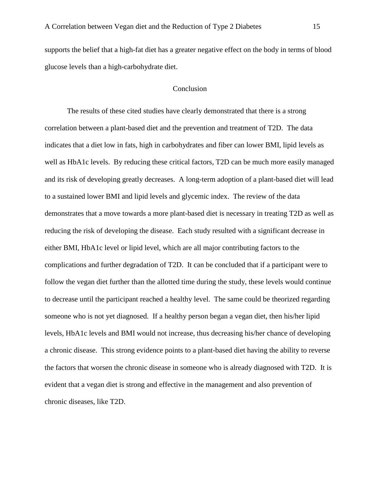supports the belief that a high-fat diet has a greater negative effect on the body in terms of blood glucose levels than a high-carbohydrate diet.

# Conclusion

The results of these cited studies have clearly demonstrated that there is a strong correlation between a plant-based diet and the prevention and treatment of T2D. The data indicates that a diet low in fats, high in carbohydrates and fiber can lower BMI, lipid levels as well as HbA1c levels. By reducing these critical factors, T2D can be much more easily managed and its risk of developing greatly decreases. A long-term adoption of a plant-based diet will lead to a sustained lower BMI and lipid levels and glycemic index. The review of the data demonstrates that a move towards a more plant-based diet is necessary in treating T2D as well as reducing the risk of developing the disease. Each study resulted with a significant decrease in either BMI, HbA1c level or lipid level, which are all major contributing factors to the complications and further degradation of T2D. It can be concluded that if a participant were to follow the vegan diet further than the allotted time during the study, these levels would continue to decrease until the participant reached a healthy level. The same could be theorized regarding someone who is not yet diagnosed. If a healthy person began a vegan diet, then his/her lipid levels, HbA1c levels and BMI would not increase, thus decreasing his/her chance of developing a chronic disease. This strong evidence points to a plant-based diet having the ability to reverse the factors that worsen the chronic disease in someone who is already diagnosed with T2D. It is evident that a vegan diet is strong and effective in the management and also prevention of chronic diseases, like T2D.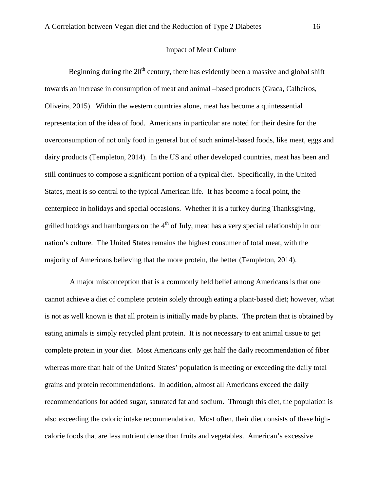#### Impact of Meat Culture

Beginning during the  $20<sup>th</sup>$  century, there has evidently been a massive and global shift towards an increase in consumption of meat and animal –based products (Graca, Calheiros, Oliveira, 2015). Within the western countries alone, meat has become a quintessential representation of the idea of food. Americans in particular are noted for their desire for the overconsumption of not only food in general but of such animal-based foods, like meat, eggs and dairy products (Templeton, 2014). In the US and other developed countries, meat has been and still continues to compose a significant portion of a typical diet. Specifically, in the United States, meat is so central to the typical American life. It has become a focal point, the centerpiece in holidays and special occasions. Whether it is a turkey during Thanksgiving, grilled hotdogs and hamburgers on the  $4<sup>th</sup>$  of July, meat has a very special relationship in our nation's culture. The United States remains the highest consumer of total meat, with the majority of Americans believing that the more protein, the better (Templeton, 2014).

A major misconception that is a commonly held belief among Americans is that one cannot achieve a diet of complete protein solely through eating a plant-based diet; however, what is not as well known is that all protein is initially made by plants. The protein that is obtained by eating animals is simply recycled plant protein. It is not necessary to eat animal tissue to get complete protein in your diet. Most Americans only get half the daily recommendation of fiber whereas more than half of the United States' population is meeting or exceeding the daily total grains and protein recommendations. In addition, almost all Americans exceed the daily recommendations for added sugar, saturated fat and sodium. Through this diet, the population is also exceeding the caloric intake recommendation. Most often, their diet consists of these highcalorie foods that are less nutrient dense than fruits and vegetables. American's excessive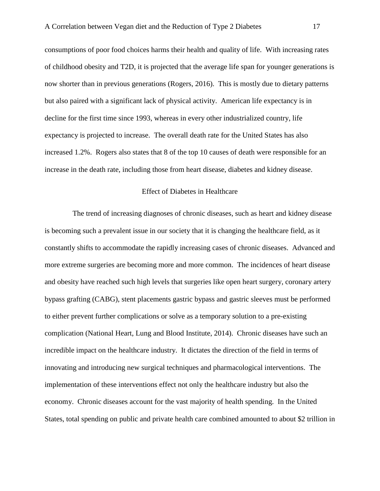consumptions of poor food choices harms their health and quality of life. With increasing rates of childhood obesity and T2D, it is projected that the average life span for younger generations is now shorter than in previous generations (Rogers, 2016). This is mostly due to dietary patterns but also paired with a significant lack of physical activity. American life expectancy is in decline for the first time since 1993, whereas in every other industrialized country, life expectancy is projected to increase. The overall death rate for the United States has also increased 1.2%. Rogers also states that 8 of the top 10 causes of death were responsible for an increase in the death rate, including those from heart disease, diabetes and kidney disease.

## Effect of Diabetes in Healthcare

 The trend of increasing diagnoses of chronic diseases, such as heart and kidney disease is becoming such a prevalent issue in our society that it is changing the healthcare field, as it constantly shifts to accommodate the rapidly increasing cases of chronic diseases. Advanced and more extreme surgeries are becoming more and more common. The incidences of heart disease and obesity have reached such high levels that surgeries like open heart surgery, coronary artery bypass grafting (CABG), stent placements gastric bypass and gastric sleeves must be performed to either prevent further complications or solve as a temporary solution to a pre-existing complication (National Heart, Lung and Blood Institute, 2014). Chronic diseases have such an incredible impact on the healthcare industry. It dictates the direction of the field in terms of innovating and introducing new surgical techniques and pharmacological interventions. The implementation of these interventions effect not only the healthcare industry but also the economy. Chronic diseases account for the vast majority of health spending. In the United States, total spending on public and private health care combined amounted to about \$2 trillion in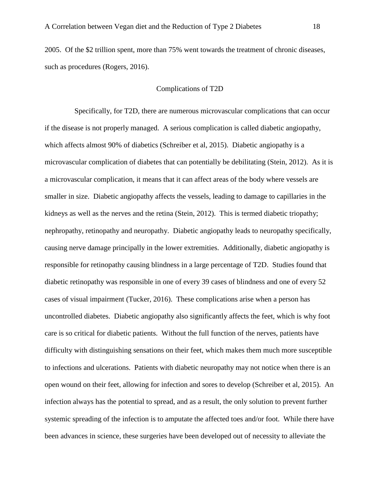2005. Of the \$2 trillion spent, more than 75% went towards the treatment of chronic diseases, such as procedures (Rogers, 2016).

# Complications of T2D

 Specifically, for T2D, there are numerous microvascular complications that can occur if the disease is not properly managed. A serious complication is called diabetic angiopathy, which affects almost 90% of diabetics (Schreiber et al, 2015). Diabetic angiopathy is a microvascular complication of diabetes that can potentially be debilitating (Stein, 2012). As it is a microvascular complication, it means that it can affect areas of the body where vessels are smaller in size. Diabetic angiopathy affects the vessels, leading to damage to capillaries in the kidneys as well as the nerves and the retina (Stein, 2012). This is termed diabetic triopathy; nephropathy, retinopathy and neuropathy. Diabetic angiopathy leads to neuropathy specifically, causing nerve damage principally in the lower extremities. Additionally, diabetic angiopathy is responsible for retinopathy causing blindness in a large percentage of T2D. Studies found that diabetic retinopathy was responsible in one of every 39 cases of blindness and one of every 52 cases of visual impairment (Tucker, 2016). These complications arise when a person has uncontrolled diabetes. Diabetic angiopathy also significantly affects the feet, which is why foot care is so critical for diabetic patients. Without the full function of the nerves, patients have difficulty with distinguishing sensations on their feet, which makes them much more susceptible to infections and ulcerations. Patients with diabetic neuropathy may not notice when there is an open wound on their feet, allowing for infection and sores to develop (Schreiber et al, 2015). An infection always has the potential to spread, and as a result, the only solution to prevent further systemic spreading of the infection is to amputate the affected toes and/or foot. While there have been advances in science, these surgeries have been developed out of necessity to alleviate the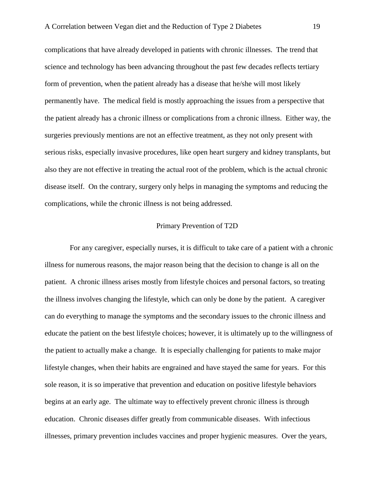complications that have already developed in patients with chronic illnesses. The trend that science and technology has been advancing throughout the past few decades reflects tertiary form of prevention, when the patient already has a disease that he/she will most likely permanently have. The medical field is mostly approaching the issues from a perspective that the patient already has a chronic illness or complications from a chronic illness. Either way, the surgeries previously mentions are not an effective treatment, as they not only present with serious risks, especially invasive procedures, like open heart surgery and kidney transplants, but also they are not effective in treating the actual root of the problem, which is the actual chronic disease itself. On the contrary, surgery only helps in managing the symptoms and reducing the complications, while the chronic illness is not being addressed.

## Primary Prevention of T2D

For any caregiver, especially nurses, it is difficult to take care of a patient with a chronic illness for numerous reasons, the major reason being that the decision to change is all on the patient. A chronic illness arises mostly from lifestyle choices and personal factors, so treating the illness involves changing the lifestyle, which can only be done by the patient. A caregiver can do everything to manage the symptoms and the secondary issues to the chronic illness and educate the patient on the best lifestyle choices; however, it is ultimately up to the willingness of the patient to actually make a change. It is especially challenging for patients to make major lifestyle changes, when their habits are engrained and have stayed the same for years. For this sole reason, it is so imperative that prevention and education on positive lifestyle behaviors begins at an early age. The ultimate way to effectively prevent chronic illness is through education. Chronic diseases differ greatly from communicable diseases. With infectious illnesses, primary prevention includes vaccines and proper hygienic measures. Over the years,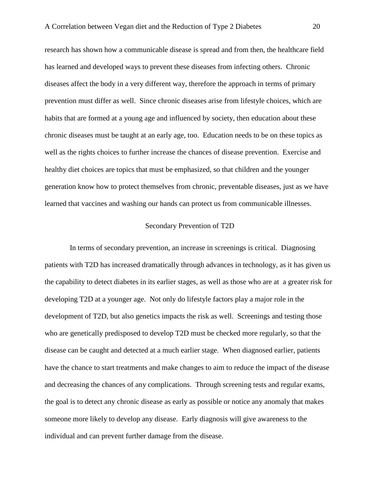research has shown how a communicable disease is spread and from then, the healthcare field has learned and developed ways to prevent these diseases from infecting others. Chronic diseases affect the body in a very different way, therefore the approach in terms of primary prevention must differ as well. Since chronic diseases arise from lifestyle choices, which are habits that are formed at a young age and influenced by society, then education about these chronic diseases must be taught at an early age, too. Education needs to be on these topics as well as the rights choices to further increase the chances of disease prevention. Exercise and healthy diet choices are topics that must be emphasized, so that children and the younger generation know how to protect themselves from chronic, preventable diseases, just as we have learned that vaccines and washing our hands can protect us from communicable illnesses.

## Secondary Prevention of T2D

In terms of secondary prevention, an increase in screenings is critical. Diagnosing patients with T2D has increased dramatically through advances in technology, as it has given us the capability to detect diabetes in its earlier stages, as well as those who are at a greater risk for developing T2D at a younger age. Not only do lifestyle factors play a major role in the development of T2D, but also genetics impacts the risk as well. Screenings and testing those who are genetically predisposed to develop T2D must be checked more regularly, so that the disease can be caught and detected at a much earlier stage. When diagnosed earlier, patients have the chance to start treatments and make changes to aim to reduce the impact of the disease and decreasing the chances of any complications. Through screening tests and regular exams, the goal is to detect any chronic disease as early as possible or notice any anomaly that makes someone more likely to develop any disease. Early diagnosis will give awareness to the individual and can prevent further damage from the disease.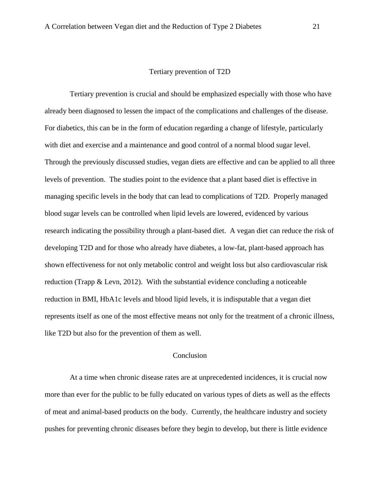## Tertiary prevention of T2D

Tertiary prevention is crucial and should be emphasized especially with those who have already been diagnosed to lessen the impact of the complications and challenges of the disease. For diabetics, this can be in the form of education regarding a change of lifestyle, particularly with diet and exercise and a maintenance and good control of a normal blood sugar level. Through the previously discussed studies, vegan diets are effective and can be applied to all three levels of prevention. The studies point to the evidence that a plant based diet is effective in managing specific levels in the body that can lead to complications of T2D. Properly managed blood sugar levels can be controlled when lipid levels are lowered, evidenced by various research indicating the possibility through a plant-based diet. A vegan diet can reduce the risk of developing T2D and for those who already have diabetes, a low-fat, plant-based approach has shown effectiveness for not only metabolic control and weight loss but also cardiovascular risk reduction (Trapp & Levn, 2012). With the substantial evidence concluding a noticeable reduction in BMI, HbA1c levels and blood lipid levels, it is indisputable that a vegan diet represents itself as one of the most effective means not only for the treatment of a chronic illness, like T2D but also for the prevention of them as well.

# Conclusion

At a time when chronic disease rates are at unprecedented incidences, it is crucial now more than ever for the public to be fully educated on various types of diets as well as the effects of meat and animal-based products on the body. Currently, the healthcare industry and society pushes for preventing chronic diseases before they begin to develop, but there is little evidence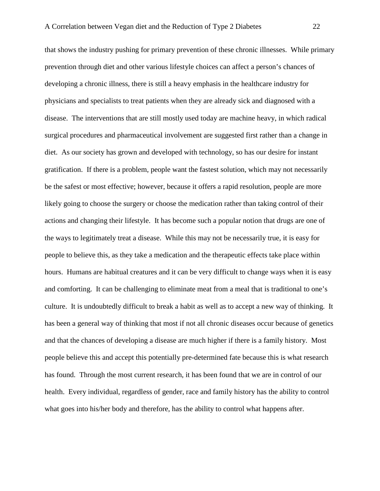that shows the industry pushing for primary prevention of these chronic illnesses. While primary prevention through diet and other various lifestyle choices can affect a person's chances of developing a chronic illness, there is still a heavy emphasis in the healthcare industry for physicians and specialists to treat patients when they are already sick and diagnosed with a disease. The interventions that are still mostly used today are machine heavy, in which radical surgical procedures and pharmaceutical involvement are suggested first rather than a change in diet. As our society has grown and developed with technology, so has our desire for instant gratification. If there is a problem, people want the fastest solution, which may not necessarily be the safest or most effective; however, because it offers a rapid resolution, people are more likely going to choose the surgery or choose the medication rather than taking control of their actions and changing their lifestyle. It has become such a popular notion that drugs are one of the ways to legitimately treat a disease. While this may not be necessarily true, it is easy for people to believe this, as they take a medication and the therapeutic effects take place within hours. Humans are habitual creatures and it can be very difficult to change ways when it is easy and comforting. It can be challenging to eliminate meat from a meal that is traditional to one's culture. It is undoubtedly difficult to break a habit as well as to accept a new way of thinking. It has been a general way of thinking that most if not all chronic diseases occur because of genetics and that the chances of developing a disease are much higher if there is a family history. Most people believe this and accept this potentially pre-determined fate because this is what research has found. Through the most current research, it has been found that we are in control of our health. Every individual, regardless of gender, race and family history has the ability to control what goes into his/her body and therefore, has the ability to control what happens after.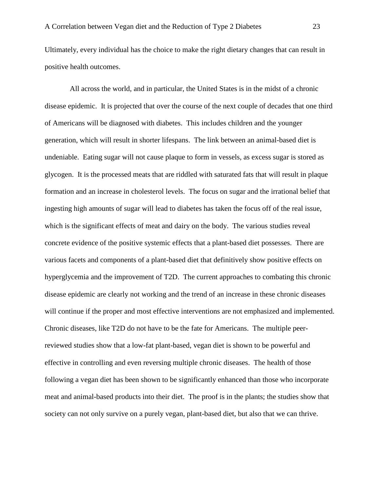Ultimately, every individual has the choice to make the right dietary changes that can result in positive health outcomes.

All across the world, and in particular, the United States is in the midst of a chronic disease epidemic. It is projected that over the course of the next couple of decades that one third of Americans will be diagnosed with diabetes. This includes children and the younger generation, which will result in shorter lifespans. The link between an animal-based diet is undeniable. Eating sugar will not cause plaque to form in vessels, as excess sugar is stored as glycogen. It is the processed meats that are riddled with saturated fats that will result in plaque formation and an increase in cholesterol levels. The focus on sugar and the irrational belief that ingesting high amounts of sugar will lead to diabetes has taken the focus off of the real issue, which is the significant effects of meat and dairy on the body. The various studies reveal concrete evidence of the positive systemic effects that a plant-based diet possesses. There are various facets and components of a plant-based diet that definitively show positive effects on hyperglycemia and the improvement of T2D. The current approaches to combating this chronic disease epidemic are clearly not working and the trend of an increase in these chronic diseases will continue if the proper and most effective interventions are not emphasized and implemented. Chronic diseases, like T2D do not have to be the fate for Americans. The multiple peerreviewed studies show that a low-fat plant-based, vegan diet is shown to be powerful and effective in controlling and even reversing multiple chronic diseases. The health of those following a vegan diet has been shown to be significantly enhanced than those who incorporate meat and animal-based products into their diet. The proof is in the plants; the studies show that society can not only survive on a purely vegan, plant-based diet, but also that we can thrive.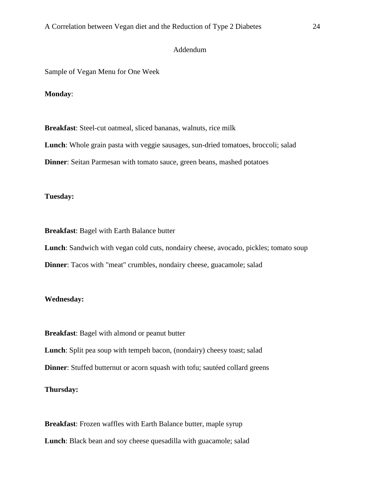# Addendum

Sample of Vegan Menu for One Week

## **Monday**:

**Breakfast**: Steel-cut oatmeal, sliced bananas, walnuts, rice milk **Lunch**: Whole grain pasta with veggie sausages, sun-dried tomatoes, broccoli; salad **Dinner**: Seitan Parmesan with tomato sauce, green beans, mashed potatoes

#### **Tuesday:**

**Breakfast**: Bagel with Earth Balance butter

**Lunch**: Sandwich with vegan cold cuts, nondairy cheese, avocado, pickles; tomato soup **Dinner:** Tacos with "meat" crumbles, nondairy cheese, guacamole; salad

## **Wednesday:**

**Breakfast**: Bagel with almond or peanut butter **Lunch**: Split pea soup with tempeh bacon, (nondairy) cheesy toast; salad **Dinner:** Stuffed butternut or acorn squash with tofu; sautéed collard greens **Thursday:**

**Breakfast**: Frozen waffles with Earth Balance butter, maple syrup **Lunch**: Black bean and soy cheese quesadilla with guacamole; salad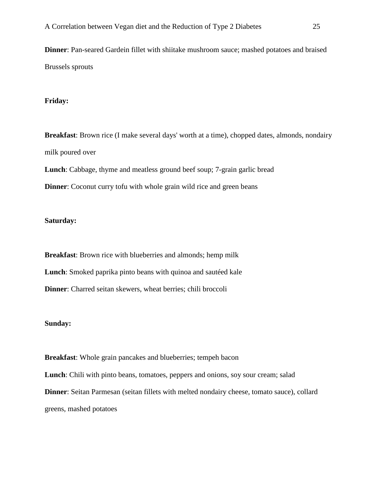**Dinner**: Pan-seared Gardein fillet with shiitake mushroom sauce; mashed potatoes and braised Brussels sprouts

# **Friday:**

**Breakfast**: Brown rice (I make several days' worth at a time), chopped dates, almonds, nondairy milk poured over

**Lunch**: Cabbage, thyme and meatless ground beef soup; 7-grain garlic bread

**Dinner:** Coconut curry tofu with whole grain wild rice and green beans

#### **Saturday:**

**Breakfast**: Brown rice with blueberries and almonds; hemp milk **Lunch**: Smoked paprika pinto beans with quinoa and sautéed kale **Dinner**: Charred seitan skewers, wheat berries; chili broccoli

## **Sunday:**

**Breakfast**: Whole grain pancakes and blueberries; tempeh bacon **Lunch**: Chili with pinto beans, tomatoes, peppers and onions, soy sour cream; salad **Dinner**: Seitan Parmesan (seitan fillets with melted nondairy cheese, tomato sauce), collard greens, mashed potatoes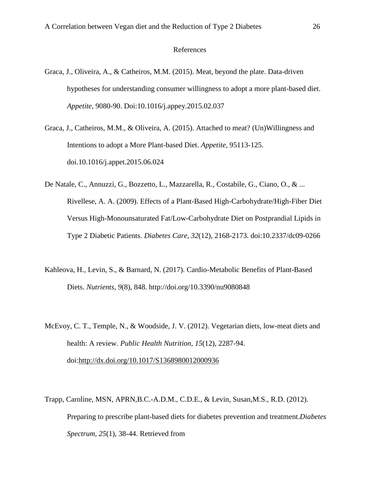#### References

- Graca, J., Oliveira, A., & Catheiros, M.M. (2015). Meat, beyond the plate. Data-driven hypotheses for understanding consumer willingness to adopt a more plant-based diet. *Appetite,* 9080-90. Doi:10.1016/j.appey.2015.02.037
- Graca, J., Catheiros, M.M., & Oliveira, A. (2015). Attached to meat? (Un)Willingness and Intentions to adopt a More Plant-based Diet. *Appetite,* 95113-125. doi.10.1016/j.appet.2015.06.024
- De Natale, C., Annuzzi, G., Bozzetto, L., Mazzarella, R., Costabile, G., Ciano, O., & ... Rivellese, A. A. (2009). Effects of a Plant-Based High-Carbohydrate/High-Fiber Diet Versus High-Monounsaturated Fat/Low-Carbohydrate Diet on Postprandial Lipids in Type 2 Diabetic Patients. *Diabetes Care*, *32*(12), 2168-2173. doi:10.2337/dc09-0266
- Kahleova, H., Levin, S., & Barnard, N. (2017). Cardio-Metabolic Benefits of Plant-Based Diets. *Nutrients*, *9*(8), 848. http://doi.org/10.3390/nu9080848
- McEvoy, C. T., Temple, N., & Woodside, J. V. (2012). Vegetarian diets, low-meat diets and health: A review. *Public Health Nutrition, 15*(12), 2287-94. doi[:http://dx.doi.org/10.1017/S1368980012000936](http://dx.doi.org/10.1017/S1368980012000936)
- Trapp, Caroline, MSN, APRN,B.C.-A.D.M., C.D.E., & Levin, Susan,M.S., R.D. (2012). Preparing to prescribe plant-based diets for diabetes prevention and treatment.*Diabetes Spectrum, 25*(1), 38-44. Retrieved from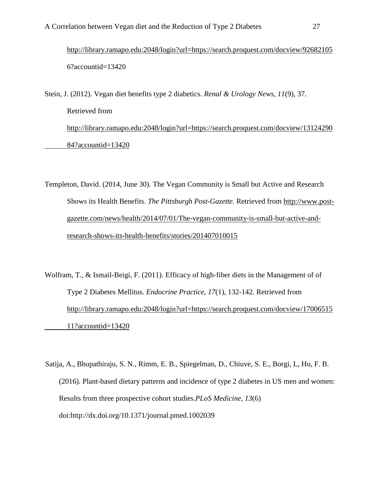<http://library.ramapo.edu:2048/login?url=https://search.proquest.com/docview/92682105> 6?accountid=13420

Stein, J. (2012). Vegan diet benefits type 2 diabetics. *Renal & Urology News, 11*(9), 37. Retrieved from [http://library.ramapo.edu:2048/login?url=https://search.proquest.com/docview/13124290](http://library.ramapo.edu:2048/login?url=https://search.proquest.com/docview/13124290%0984?accountid=13420) [84?accountid=13420](http://library.ramapo.edu:2048/login?url=https://search.proquest.com/docview/13124290%0984?accountid=13420)

Templeton, David. (2014, June 30). The Vegan Community is Small but Active and Research Shows its Health Benefits. *The Pittsburgh Post-Gazette.* Retrieved from http://www.postgazette.com/news/health/2014/07/01/The-vegan-community-is-small-but-active-andresearch-shows-its-health-benefits/stories/201407010015

Wolfram, T., & Ismail-Beigi, F. (2011). Efficacy of high-fiber diets in the Management of of Type 2 Diabetes Mellitus. *Endocrine Practice, 17*(1), 132-142. Retrieved from [http://library.ramapo.edu:2048/login?url=https://search.proquest.com/docview/17006515](http://library.ramapo.edu:2048/login?url=https://search.proquest.com/docview/17006515%0911?accountid=13420) [11?accountid=13420](http://library.ramapo.edu:2048/login?url=https://search.proquest.com/docview/17006515%0911?accountid=13420)

Satija, A., Bhupathiraju, S. N., Rimm, E. B., Spiegelman, D., Chiuve, S. E., Borgi, L, Hu, F. B. (2016). Plant-based dietary patterns and incidence of type 2 diabetes in US men and women: Results from three prospective cohort studies.*PLoS Medicine, 13*(6) doi:http://dx.doi.org/10.1371/journal.pmed.1002039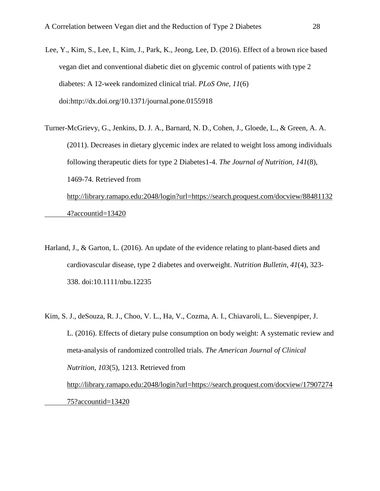Lee, Y., Kim, S., Lee, I., Kim, J., Park, K., Jeong, Lee, D. (2016). Effect of a brown rice based vegan diet and conventional diabetic diet on glycemic control of patients with type 2 diabetes: A 12-week randomized clinical trial. *PLoS One, 11*(6) doi:http://dx.doi.org/10.1371/journal.pone.0155918

Turner-McGrievy, G., Jenkins, D. J. A., Barnard, N. D., Cohen, J., Gloede, L., & Green, A. A. (2011). Decreases in dietary glycemic index are related to weight loss among individuals following therapeutic diets for type 2 Diabetes1-4. *The Journal of Nutrition, 141*(8), 1469-74. Retrieved from [http://library.ramapo.edu:2048/login?url=https://search.proquest.com/docview/88481132](http://library.ramapo.edu:2048/login?url=https://search.proquest.com/docview/88481132%094?accountid=13420) [4?accountid=13420](http://library.ramapo.edu:2048/login?url=https://search.proquest.com/docview/88481132%094?accountid=13420)

- Harland, J., & Garton, L. (2016). An update of the evidence relating to plant-based diets and cardiovascular disease, type 2 diabetes and overweight. *Nutrition Bulletin*, *41*(4), 323- 338. doi:10.1111/nbu.12235
- Kim, S. J., deSouza, R. J., Choo, V. L., Ha, V., Cozma, A. I., Chiavaroli, L.. Sievenpiper, J. L. (2016). Effects of dietary pulse consumption on body weight: A systematic review and meta-analysis of randomized controlled trials. *The American Journal of Clinical Nutrition, 103*(5), 1213. Retrieved from

[http://library.ramapo.edu:2048/login?url=https://search.proquest.com/docview/17907274](http://library.ramapo.edu:2048/login?url=https://search.proquest.com/docview/17907274%0975?accountid=13420) [75?accountid=13420](http://library.ramapo.edu:2048/login?url=https://search.proquest.com/docview/17907274%0975?accountid=13420)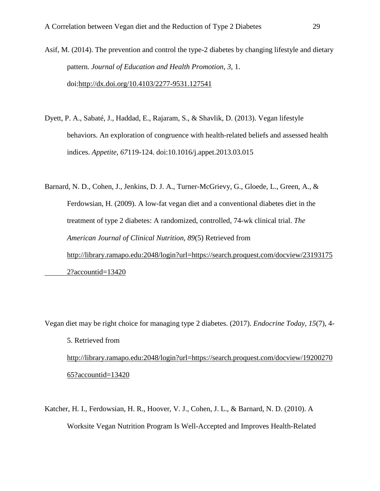Asif, M. (2014). The prevention and control the type-2 diabetes by changing lifestyle and dietary pattern. *Journal of Education and Health Promotion, 3*, 1. doi[:http://dx.doi.org/10.4103/2277-9531.127541](http://dx.doi.org/10.4103/2277-9531.127541)

Dyett, P. A., Sabaté, J., Haddad, E., Rajaram, S., & Shavlik, D. (2013). Vegan lifestyle behaviors. An exploration of congruence with health-related beliefs and assessed health indices. *Appetite*, *67*119-124. doi:10.1016/j.appet.2013.03.015

Barnard, N. D., Cohen, J., Jenkins, D. J. A., Turner-McGrievy, G., Gloede, L., Green, A., & Ferdowsian, H. (2009). A low-fat vegan diet and a conventional diabetes diet in the treatment of type 2 diabetes: A randomized, controlled, 74-wk clinical trial. *The American Journal of Clinical Nutrition, 89*(5) Retrieved from [http://library.ramapo.edu:2048/login?url=https://search.proquest.com/docview/23193175](http://library.ramapo.edu:2048/login?url=https://search.proquest.com/docview/23193175%092?accountid=13420) [2?accountid=13420](http://library.ramapo.edu:2048/login?url=https://search.proquest.com/docview/23193175%092?accountid=13420)

Vegan diet may be right choice for managing type 2 diabetes. (2017). *Endocrine Today, 15*(7), 4-

- 5. Retrieved from http://library.ramapo.edu:2048/login?url=https://search.proquest.com/docview/19200270 65?accountid=13420
- Katcher, H. I., Ferdowsian, H. R., Hoover, V. J., Cohen, J. L., & Barnard, N. D. (2010). A Worksite Vegan Nutrition Program Is Well-Accepted and Improves Health-Related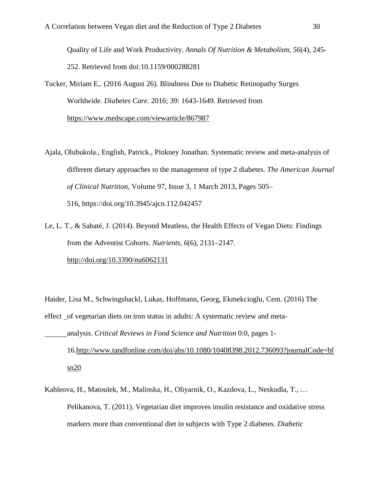Quality of Life and Work Productivity. *Annals Of Nutrition & Metabolism*, *56*(4), 245- 252. Retrieved from doi:10.1159/000288281

Tucker, Miriam E,. (2016 August 26). Blindness Due to Diabetic Retinopathy Surges Worldwide. *Diabetes Care*. 2016; 39: 1643-1649. Retrieved from <https://www.medscape.com/viewarticle/867987>

- Ajala, Olubukola., English, Patrick., Pinkney Jonathan. Systematic review and meta-analysis of different dietary approaches to the management of type 2 diabetes. *The American Journal of Clinical Nutrition*, Volume 97, Issue 3, 1 March 2013, Pages 505– 516, <https://doi.org/10.3945/ajcn.112.042457>
- Le, L. T., & Sabaté, J. (2014). Beyond Meatless, the Health Effects of Vegan Diets: Findings from the Adventist Cohorts. *Nutrients*, *6*(6), 2131–2147. <http://doi.org/10.3390/nu6062131>

Haider, Lisa M., Schwingshackl, Lukas, Hoffmann, Georg, Ekmekcioglu, Cem. (2016) [The](https://www.tandfonline.com/doi/abs/10.1080/10408398.2016.1259210)  [effect of vegetarian diets on iron status in adults: A systematic review and meta](https://www.tandfonline.com/doi/abs/10.1080/10408398.2016.1259210)[analysis.](https://www.tandfonline.com/doi/abs/10.1080/10408398.2016.1259210) *Critical Reviews in Food Science and Nutrition* 0:0, pages 1- 16[.http://www.tandfonline.com/doi/abs/10.1080/10408398.2012.736093?journalCode=bf](http://www.tandfonline.com/doi/abs/10.1080/10408398.2012.736093?journalCode=bf%09sn20)  $sn20$ 

Kahleova, H., Matoulek, M., Malinska, H., Oliyarnik, O., Kazdova, L., Neskudla, T., … Pelikanova, T. (2011). Vegetarian diet improves insulin resistance and oxidative stress markers more than conventional diet in subjects with Type 2 diabetes. *Diabetic*